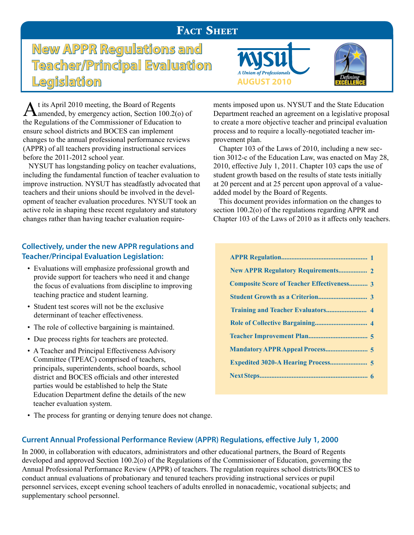## **FACT SHEET**

**New APPR Regulations and Teacher/Principal Evaluation Legislation AUGUST 2010** 

At its April 2010 meeting, the Board of Regents<br>
amended, by emergency action, Section 100.2(o) of the Regulations of the Commissioner of Education to ensure school districts and BOCES can implement changes to the annual professional performance reviews (APPR) of all teachers providing instructional services before the 2011-2012 school year.

 NYSUT has longstanding policy on teacher evaluations, including the fundamental function of teacher evaluation to improve instruction. NYSUT has steadfastly advocated that teachers and their unions should be involved in the development of teacher evaluation procedures. NYSUT took an active role in shaping these recent regulatory and statutory changes rather than having teacher evaluation require-

## **Collectively, under the new APPR regulations and Teacher/Principal Evaluation Legislation:**

- Evaluations will emphasize professional growth and provide support for teachers who need it and change the focus of evaluations from discipline to improving teaching practice and student learning.
- Student test scores will not be the exclusive determinant of teacher effectiveness.
- The role of collective bargaining is maintained.
- Due process rights for teachers are protected.
- A Teacher and Principal Effectiveness Advisory Committee (TPEAC) comprised of teachers, principals, superintendents, school boards, school district and BOCES officials and other interested parties would be established to help the State Education Department define the details of the new teacher evaluation system.





ments imposed upon us. NYSUT and the State Education Department reached an agreement on a legislative proposal to create a more objective teacher and principal evaluation process and to require a locally-negotiated teacher improvement plan.

 Chapter 103 of the Laws of 2010, including a new section 3012-c of the Education Law, was enacted on May 28, 2010, effective July 1, 2011. Chapter 103 caps the use of student growth based on the results of state tests initially at 20 percent and at 25 percent upon approval of a valueadded model by the Board of Regents.

 This document provides information on the changes to section 100.2(o) of the regulations regarding APPR and Chapter 103 of the Laws of 2010 as it affects only teachers.

| <b>New APPR Regulatory Requirements 2</b>         |
|---------------------------------------------------|
| <b>Composite Score of Teacher Effectiveness 3</b> |
|                                                   |
|                                                   |
|                                                   |
|                                                   |
|                                                   |
|                                                   |
|                                                   |

• The process for granting or denying tenure does not change.

### **Current Annual Professional Performance Review (APPR) Regulations, effective July 1, 2000**

In 2000, in collaboration with educators, administrators and other educational partners, the Board of Regents developed and approved Section 100.2(o) of the Regulations of the Commissioner of Education, governing the Annual Professional Performance Review (APPR) of teachers. The regulation requires school districts/BOCES to conduct annual evaluations of probationary and tenured teachers providing instructional services or pupil personnel services, except evening school teachers of adults enrolled in nonacademic, vocational subjects; and supplementary school personnel.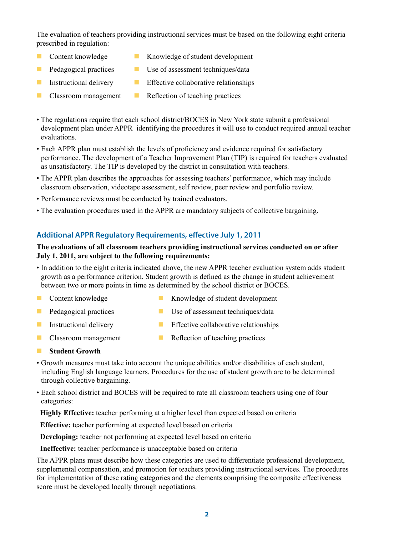The evaluation of teachers providing instructional services must be based on the following eight criteria prescribed in regulation:

- 
- 
- n Content knowledge n Knowledge of student development
- $\blacksquare$  Pedagogical practices  $\blacksquare$  Use of assessment techniques/data
- **n** Instructional delivery **n** Effective collaborative relationships
- 
- n Classroom management **n** Reflection of teaching practices
- The regulations require that each school district/BOCES in New York state submit a professional development plan under APPR identifying the procedures it will use to conduct required annual teacher evaluations.
- Each APPR plan must establish the levels of proficiency and evidence required for satisfactory performance. The development of a Teacher Improvement Plan (TIP) is required for teachers evaluated as unsatisfactory. The TIP is developed by the district in consultation with teachers.
- The APPR plan describes the approaches for assessing teachers' performance, which may include classroom observation, videotape assessment, self review, peer review and portfolio review.
- Performance reviews must be conducted by trained evaluators.
- The evaluation procedures used in the APPR are mandatory subjects of collective bargaining.

#### **Additional APPR Regulatory Requirements, effective July 1, 2011**

#### **The evaluations of all classroom teachers providing instructional services conducted on or after July 1, 2011, are subject to the following requirements:**

- In addition to the eight criteria indicated above, the new APPR teacher evaluation system adds student growth as a performance criterion. Student growth is defined as the change in student achievement between two or more points in time as determined by the school district or BOCES.
- 
- n Content knowledge n Knowledge of student development
- 
- n Pedagogical practices **n** Use of assessment techniques/data
- **n** Instructional delivery **n** Effective collaborative relationships
- 
- n Classroom management **n Reflection of teaching practices**
- **n** Student Growth
- Growth measures must take into account the unique abilities and/or disabilities of each student, including English language learners. Procedures for the use of student growth are to be determined through collective bargaining.
- Each school district and BOCES will be required to rate all classroom teachers using one of four categories:
- **Highly Effective:** teacher performing at a higher level than expected based on criteria

 **Effective:** teacher performing at expected level based on criteria

 **Developing:** teacher not performing at expected level based on criteria

 **Ineffective:** teacher performance is unacceptable based on criteria

The APPR plans must describe how these categories are used to differentiate professional development, supplemental compensation, and promotion for teachers providing instructional services. The procedures for implementation of these rating categories and the elements comprising the composite effectiveness score must be developed locally through negotiations.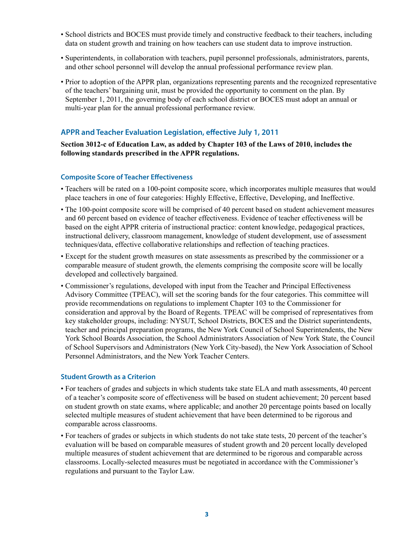- School districts and BOCES must provide timely and constructive feedback to their teachers, including data on student growth and training on how teachers can use student data to improve instruction.
- Superintendents, in collaboration with teachers, pupil personnel professionals, administrators, parents, and other school personnel will develop the annual professional performance review plan.
- Prior to adoption of the APPR plan, organizations representing parents and the recognized representative of the teachers' bargaining unit, must be provided the opportunity to comment on the plan. By September 1, 2011, the governing body of each school district or BOCES must adopt an annual or multi-year plan for the annual professional performance review.

#### **APPR and Teacher Evaluation Legislation, effective July 1, 2011**

**Section 3012-c of Education Law, as added by Chapter 103 of the Laws of 2010, includes the following standards prescribed in the APPR regulations.** 

#### **Composite Score of Teacher Effectiveness**

- Teachers will be rated on a 100-point composite score, which incorporates multiple measures that would place teachers in one of four categories: Highly Effective, Effective, Developing, and Ineffective.
- The 100-point composite score will be comprised of 40 percent based on student achievement measures and 60 percent based on evidence of teacher effectiveness. Evidence of teacher effectiveness will be based on the eight APPR criteria of instructional practice: content knowledge, pedagogical practices, instructional delivery, classroom management, knowledge of student development, use of assessment techniques/data, effective collaborative relationships and reflection of teaching practices.
- Except for the student growth measures on state assessments as prescribed by the commissioner or a comparable measure of student growth, the elements comprising the composite score will be locally developed and collectively bargained.
- Commissioner's regulations, developed with input from the Teacher and Principal Effectiveness Advisory Committee (TPEAC), will set the scoring bands for the four categories. This committee will provide recommendations on regulations to implement Chapter 103 to the Commissioner for consideration and approval by the Board of Regents. TPEAC will be comprised of representatives from key stakeholder groups, including: NYSUT, School Districts, BOCES and the District superintendents, teacher and principal preparation programs, the New York Council of School Superintendents, the New York School Boards Association, the School Administrators Association of New York State, the Council of School Supervisors and Administrators (New York City-based), the New York Association of School Personnel Administrators, and the New York Teacher Centers.

#### **Student Growth as a Criterion**

- For teachers of grades and subjects in which students take state ELA and math assessments, 40 percent of a teacher's composite score of effectiveness will be based on student achievement; 20 percent based on student growth on state exams, where applicable; and another 20 percentage points based on locally selected multiple measures of student achievement that have been determined to be rigorous and comparable across classrooms.
- For teachers of grades or subjects in which students do not take state tests, 20 percent of the teacher's evaluation will be based on comparable measures of student growth and 20 percent locally developed multiple measures of student achievement that are determined to be rigorous and comparable across classrooms. Locally-selected measures must be negotiated in accordance with the Commissioner's regulations and pursuant to the Taylor Law.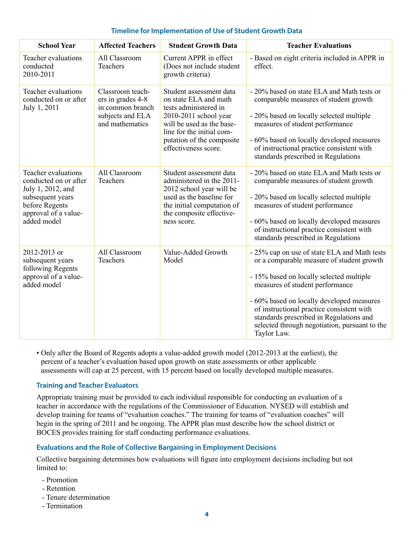| <b>School Year</b>                                                                                                                             | <b>Affected Teachers</b>                                                                         | <b>Student Growth Data</b>                                                                                                                                                                                        | <b>Teacher Evaluations</b>                                                                                                                                                                                                                                                                                                                                                    |
|------------------------------------------------------------------------------------------------------------------------------------------------|--------------------------------------------------------------------------------------------------|-------------------------------------------------------------------------------------------------------------------------------------------------------------------------------------------------------------------|-------------------------------------------------------------------------------------------------------------------------------------------------------------------------------------------------------------------------------------------------------------------------------------------------------------------------------------------------------------------------------|
| Teacher evaluations<br>conducted<br>2010-2011                                                                                                  | All Classroom<br>Teachers                                                                        | Current APPR in effect<br>(Does not include student<br>growth criteria)                                                                                                                                           | - Based on eight criteria included in APPR in<br>effect.                                                                                                                                                                                                                                                                                                                      |
| Teacher evaluations<br>conducted on or after<br>July 1, 2011                                                                                   | Classroom teach-<br>ers in grades 4-8<br>in common branch<br>subjects and ELA<br>and mathematics | Student assessment data<br>on state ELA and math<br>tests administered in<br>2010-2011 school year<br>will be used as the base-<br>line for the initial com-<br>putation of the composite<br>effectiveness score. | - 20% based on state ELA and Math tests or<br>comparable measures of student growth<br>- 20% based on locally selected multiple<br>measures of student performance<br>- 60% based on locally developed measures<br>of instructional practice consistent with<br>standards prescribed in Regulations                                                                           |
| Teacher evaluations<br>conducted on or after<br>July 1, 2012, and<br>subsequent years<br>before Regents<br>approval of a value-<br>added model | All Classroom<br>Teachers                                                                        | Student assessment data<br>administered in the 2011-<br>2012 school year will be<br>used as the baseline for<br>the initial computation of<br>the composite effective-<br>ness score.                             | - 20% based on state ELA and Math tests or<br>comparable measures of student growth<br>- 20% based on locally selected multiple<br>measures of student performance<br>- 60% based on locally developed measures<br>of instructional practice consistent with<br>standards prescribed in Regulations                                                                           |
| 2012-2013 or<br>subsequent years<br>following Regents<br>approval of a value-<br>added model                                                   | All Classroom<br>Teachers                                                                        | Value-Added Growth<br>Model                                                                                                                                                                                       | - 25% cap on use of state ELA and Math tests<br>or a comparable measure of student growth<br>- 15% based on locally selected multiple<br>measures of student performance<br>- 60% based on locally developed measures<br>of instructional practice consistent with<br>standards prescribed in Regulations and<br>selected through negotiation, pursuant to the<br>Taylor Law. |

#### **Timeline for Implementation of Use of Student Growth Data**

• Only after the Board of Regents adopts a value-added growth model (2012-2013 at the earliest), the percent of a teacher's evaluation based upon growth on state assessments or other applicable assessments will cap at 25 percent, with 15 percent based on locally developed multiple measures.

#### **Training and Teacher Evaluators**

Appropriate training must be provided to each individual responsible for conducting an evaluation of a teacher in accordance with the regulations of the Commissioner of Education. NYSED will establish and develop training for teams of "evaluation coaches." The training for teams of "evaluation coaches" will begin in the spring of 2011 and be ongoing. The APPR plan must describe how the school district or BOCES provides training for staff conducting performance evaluations.

#### **Evaluations and the Role of Collective Bargaining in Employment Decisions**

Collective bargaining determines how evaluations will figure into employment decisions including but not limited to:

- Promotion
- Retention
- Tenure determination
- Termination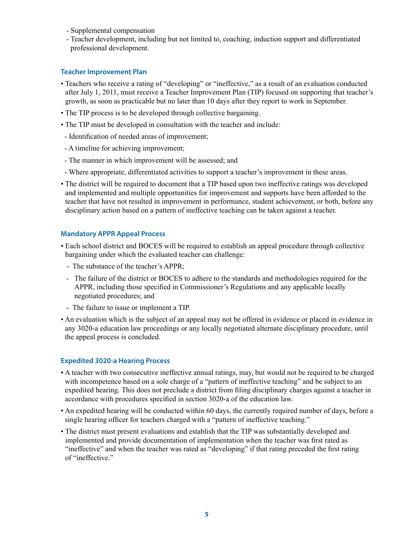- Supplemental compensation
- Teacher development, including but not limited to, coaching, induction support and differentiated professional development.

#### **Teacher Improvement Plan**

- Teachers who receive a rating of "developing" or "ineffective," as a result of an evaluation conducted after July 1, 2011, must receive a Teacher Improvement Plan (TIP) focused on supporting that teacher's growth, as soon as practicable but no later than 10 days after they report to work in September.
- The TIP process is to be developed through collective bargaining.
- The TIP must be developed in consultation with the teacher and include:
- Identification of needed areas of improvement;
- A timeline for achieving improvement;
- The manner in which improvement will be assessed; and
- Where appropriate, differentiated activities to support a teacher's improvement in these areas.
- The district will be required to document that a TIP based upon two ineffective ratings was developed and implemented and multiple opportunities for improvement and supports have been afforded to the teacher that have not resulted in improvement in performance, student achievement, or both, before any disciplinary action based on a pattern of ineffective teaching can be taken against a teacher.

#### **Mandatory APPR Appeal Process**

- Each school district and BOCES will be required to establish an appeal procedure through collective bargaining under which the evaluated teacher can challenge:
	- The substance of the teacher's APPR;
	- The failure of the district or BOCES to adhere to the standards and methodologies required for the APPR, including those specified in Commissioner's Regulations and any applicable locally negotiated procedures; and
	- The failure to issue or implement a TIP.
- An evaluation which is the subject of an appeal may not be offered in evidence or placed in evidence in any 3020-a education law proceedings or any locally negotiated alternate disciplinary procedure, until the appeal process is concluded.

#### **Expedited 3020-a Hearing Process**

- A teacher with two consecutive ineffective annual ratings, may, but would not be required to be charged with incompetence based on a sole charge of a "pattern of ineffective teaching" and be subject to an expedited hearing. This does not preclude a district from filing disciplinary charges against a teacher in accordance with procedures specified in section 3020-a of the education law.
- An expedited hearing will be conducted within 60 days, the currently required number of days, before a single hearing officer for teachers charged with a "pattern of ineffective teaching."
- The district must present evaluations and establish that the TIP was substantially developed and implemented and provide documentation of implementation when the teacher was first rated as "ineffective" and when the teacher was rated as "developing" if that rating preceded the first rating of "ineffective."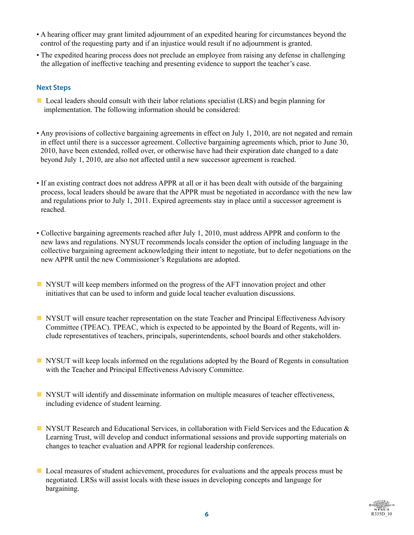- A hearing officer may grant limited adjournment of an expedited hearing for circumstances beyond the control of the requesting party and if an injustice would result if no adjournment is granted.
- The expedited hearing process does not preclude an employee from raising any defense in challenging the allegation of ineffective teaching and presenting evidence to support the teacher's case.

#### **Next Steps**

- Local leaders should consult with their labor relations specialist (LRS) and begin planning for implementation. The following information should be considered:
- Any provisions of collective bargaining agreements in effect on July 1, 2010, are not negated and remain in effect until there is a successor agreement. Collective bargaining agreements which, prior to June 30, 2010, have been extended, rolled over, or otherwise have had their expiration date changed to a date beyond July 1, 2010, are also not affected until a new successor agreement is reached.
- If an existing contract does not address APPR at all or it has been dealt with outside of the bargaining process, local leaders should be aware that the APPR must be negotiated in accordance with the new law and regulations prior to July 1, 2011. Expired agreements stay in place until a successor agreement is reached.
- Collective bargaining agreements reached after July 1, 2010, must address APPR and conform to the new laws and regulations. NYSUT recommends locals consider the option of including language in the collective bargaining agreement acknowledging their intent to negotiate, but to defer negotiations on the new APPR until the new Commissioner's Regulations are adopted.
- **n** NYSUT will keep members informed on the progress of the AFT innovation project and other initiatives that can be used to inform and guide local teacher evaluation discussions.
- **NYSUT** will ensure teacher representation on the state Teacher and Principal Effectiveness Advisory Committee (TPEAC). TPEAC, which is expected to be appointed by the Board of Regents, will include representatives of teachers, principals, superintendents, school boards and other stakeholders.
- **NI** NYSUT will keep locals informed on the regulations adopted by the Board of Regents in consultation with the Teacher and Principal Effectiveness Advisory Committee.
- **n** NYSUT will identify and disseminate information on multiple measures of teacher effectiveness, including evidence of student learning.
- **NYSUT Research and Educational Services, in collaboration with Field Services and the Education &** Learning Trust, will develop and conduct informational sessions and provide supporting materials on changes to teacher evaluation and APPR for regional leadership conferences.
- Local measures of student achievement, procedures for evaluations and the appeals process must be negotiated. LRSs will assist locals with these issues in developing concepts and language for bargaining.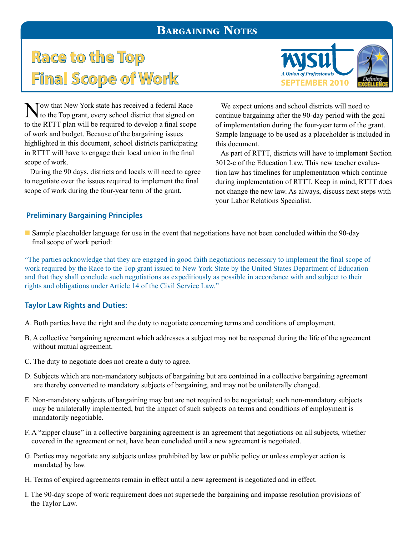## Bargaining Notes

# **Race to the Top**  Final Scope of Work SEPTEMBER 2010



Tow that New York state has received a federal Race to the Top grant, every school district that signed on to the RTTT plan will be required to develop a final scope of work and budget. Because of the bargaining issues highlighted in this document, school districts participating in RTTT will have to engage their local union in the final scope of work.

 During the 90 days, districts and locals will need to agree to negotiate over the issues required to implement the final scope of work during the four-year term of the grant.

 We expect unions and school districts will need to continue bargaining after the 90-day period with the goal of implementation during the four-year term of the grant. Sample language to be used as a placeholder is included in this document.

 As part of RTTT, districts will have to implement Section 3012-c of the Education Law. This new teacher evaluation law has timelines for implementation which continue during implementation of RTTT. Keep in mind, RTTT does not change the new law. As always, discuss next steps with your Labor Relations Specialist.

#### **Preliminary Bargaining Principles**

n Sample placeholder language for use in the event that negotiations have not been concluded within the 90-day final scope of work period:

"The parties acknowledge that they are engaged in good faith negotiations necessary to implement the final scope of work required by the Race to the Top grant issued to New York State by the United States Department of Education and that they shall conclude such negotiations as expeditiously as possible in accordance with and subject to their rights and obligations under Article 14 of the Civil Service Law."

#### **Taylor Law Rights and Duties:**

- A. Both parties have the right and the duty to negotiate concerning terms and conditions of employment.
- B. A collective bargaining agreement which addresses a subject may not be reopened during the life of the agreement without mutual agreement.
- C. The duty to negotiate does not create a duty to agree.
- D. Subjects which are non-mandatory subjects of bargaining but are contained in a collective bargaining agreement are thereby converted to mandatory subjects of bargaining, and may not be unilaterally changed.
- E. Non-mandatory subjects of bargaining may but are not required to be negotiated; such non-mandatory subjects may be unilaterally implemented, but the impact of such subjects on terms and conditions of employment is mandatorily negotiable.
- F. A "zipper clause" in a collective bargaining agreement is an agreement that negotiations on all subjects, whether covered in the agreement or not, have been concluded until a new agreement is negotiated.
- G. Parties may negotiate any subjects unless prohibited by law or public policy or unless employer action is mandated by law.
- H. Terms of expired agreements remain in effect until a new agreement is negotiated and in effect.
- I. The 90-day scope of work requirement does not supersede the bargaining and impasse resolution provisions of the Taylor Law.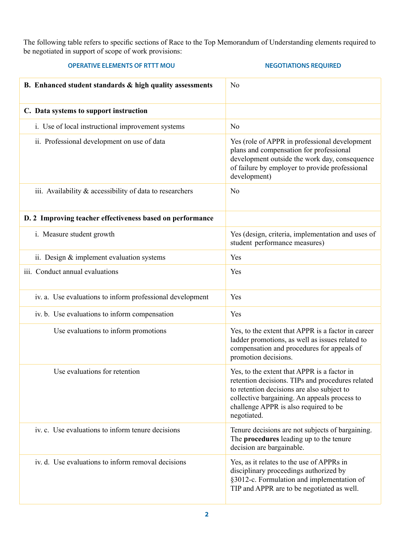The following table refers to specific sections of Race to the Top Memorandum of Understanding elements required to be negotiated in support of scope of work provisions:

| <b>OPERATIVE ELEMENTS OF RTTT MOU</b>                       | <b>NEGOTIATIONS REQUIRED</b>                                                                                                                                                                                                                          |
|-------------------------------------------------------------|-------------------------------------------------------------------------------------------------------------------------------------------------------------------------------------------------------------------------------------------------------|
| B. Enhanced student standards $\&$ high quality assessments | N <sub>o</sub>                                                                                                                                                                                                                                        |
| C. Data systems to support instruction                      |                                                                                                                                                                                                                                                       |
| i. Use of local instructional improvement systems           | N <sub>0</sub>                                                                                                                                                                                                                                        |
| ii. Professional development on use of data                 | Yes (role of APPR in professional development<br>plans and compensation for professional<br>development outside the work day, consequence<br>of failure by employer to provide professional<br>development)                                           |
| iii. Availability & accessibility of data to researchers    | N <sub>0</sub>                                                                                                                                                                                                                                        |
| D. 2 Improving teacher effectiveness based on performance   |                                                                                                                                                                                                                                                       |
| i. Measure student growth                                   | Yes (design, criteria, implementation and uses of<br>student performance measures)                                                                                                                                                                    |
| ii. Design $&$ implement evaluation systems                 | Yes                                                                                                                                                                                                                                                   |
| iii. Conduct annual evaluations                             | Yes                                                                                                                                                                                                                                                   |
| iv. a. Use evaluations to inform professional development   | Yes                                                                                                                                                                                                                                                   |
| iv. b. Use evaluations to inform compensation               | Yes                                                                                                                                                                                                                                                   |
| Use evaluations to inform promotions                        | Yes, to the extent that APPR is a factor in career<br>ladder promotions, as well as issues related to<br>compensation and procedures for appeals of<br>promotion decisions.                                                                           |
| Use evaluations for retention                               | Yes, to the extent that APPR is a factor in<br>retention decisions. TIPs and procedures related<br>to retention decisions are also subject to<br>collective bargaining. An appeals process to<br>challenge APPR is also required to be<br>negotiated. |
| iv. c. Use evaluations to inform tenure decisions           | Tenure decisions are not subjects of bargaining.<br>The procedures leading up to the tenure<br>decision are bargainable.                                                                                                                              |
| iv. d. Use evaluations to inform removal decisions          | Yes, as it relates to the use of APPRs in<br>disciplinary proceedings authorized by<br>§3012-c. Formulation and implementation of<br>TIP and APPR are to be negotiated as well.                                                                       |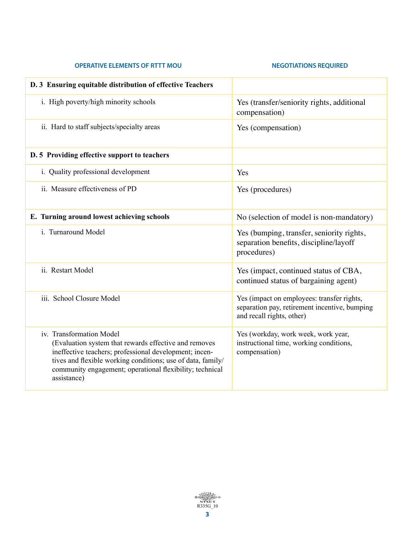#### **OPERATIVE ELEMENTS OF RTTT MOU SEXUAL REGOTIATIONS REQUIRED**

| D. 3 Ensuring equitable distribution of effective Teachers                                                                                                                                                                                                                            |                                                                                                                          |
|---------------------------------------------------------------------------------------------------------------------------------------------------------------------------------------------------------------------------------------------------------------------------------------|--------------------------------------------------------------------------------------------------------------------------|
| i. High poverty/high minority schools                                                                                                                                                                                                                                                 | Yes (transfer/seniority rights, additional<br>compensation)                                                              |
| ii. Hard to staff subjects/specialty areas                                                                                                                                                                                                                                            | Yes (compensation)                                                                                                       |
| D. 5 Providing effective support to teachers                                                                                                                                                                                                                                          |                                                                                                                          |
| i. Quality professional development                                                                                                                                                                                                                                                   | Yes                                                                                                                      |
| ii. Measure effectiveness of PD                                                                                                                                                                                                                                                       | Yes (procedures)                                                                                                         |
| E. Turning around lowest achieving schools                                                                                                                                                                                                                                            | No (selection of model is non-mandatory)                                                                                 |
| i. Turnaround Model                                                                                                                                                                                                                                                                   | Yes (bumping, transfer, seniority rights,<br>separation benefits, discipline/layoff<br>procedures)                       |
| ii. Restart Model                                                                                                                                                                                                                                                                     | Yes (impact, continued status of CBA,<br>continued status of bargaining agent)                                           |
| iii. School Closure Model                                                                                                                                                                                                                                                             | Yes (impact on employees: transfer rights,<br>separation pay, retirement incentive, bumping<br>and recall rights, other) |
| iv. Transformation Model<br>(Evaluation system that rewards effective and removes<br>ineffective teachers; professional development; incen-<br>tives and flexible working conditions; use of data, family/<br>community engagement; operational flexibility; technical<br>assistance) | Yes (workday, work week, work year,<br>instructional time, working conditions,<br>compensation)                          |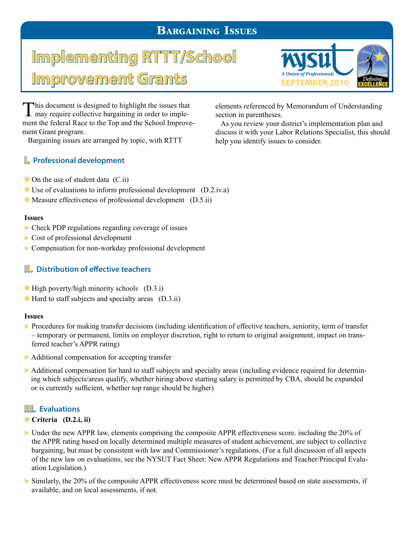## Bargaining Issues

# **Implementing RTTT/School**  Improvement Grants SEPTEMBER 2010



This document is designed to highlight the issues that may require collective bargaining in order to implement the federal Race to the Top and the School Improvement Grant program.

Bargaining issues are arranged by topic, with RTTT

## **I. Professional development**

section in parentheses. As you review your district's implementation plan and discuss it with your Labor Relations Specialist, this should

help you identify issues to consider.

elements referenced by Memorandum of Understanding

- $\blacksquare$  On the use of student data (C.ii)
- Use of evaluations to inform professional development  $(D.2.i\nu.a)$
- $\blacksquare$  Measure effectiveness of professional development (D.5.ii)

#### **Issues**

- $\triangleright$  Check PDP regulations regarding coverage of issues
- $\triangleright$  Cost of professional development
- $\triangleright$  Compensation for non-workday professional development

## **II. Distribution of effective teachers**

- $\blacksquare$  High poverty/high minority schools (D.3.i)
- $\blacksquare$  Hard to staff subjects and specialty areas (D.3.ii)

#### **Issues**

- Procedures for making transfer decisions (including identification of effective teachers, seniority, term of transfer – temporary or permanent, limits on employer discretion, right to return to original assignment, impact on transferred teacher's APPR rating)
- $\triangleright$  Additional compensation for accepting transfer
- $\blacktriangleright$  Additional compensation for hard to staff subjects and specialty areas (including evidence required for determining which subjects/areas qualify, whether hiring above starting salary is permitted by CBA, should be expanded or is currently sufficient, whether top range should be higher)

## **III. Evaluations**

#### ■ Criteria (D.2.i, ii)

- Inder the new APPR law, elements comprising the composite APPR effectiveness score, including the  $20\%$  of the APPR rating based on locally determined multiple measures of student achievement, are subject to collective bargaining, but must be consistent with law and Commissioner's regulations. (For a full discussion of all aspects of the new law on evaluations, see the NYSUT Fact Sheet: New APPR Regulations and Teacher/Principal Evaluation Legislation.)
- $\triangleright$  Similarly, the 20% of the composite APPR effectiveness score must be determined based on state assessments, if available, and on local assessments, if not.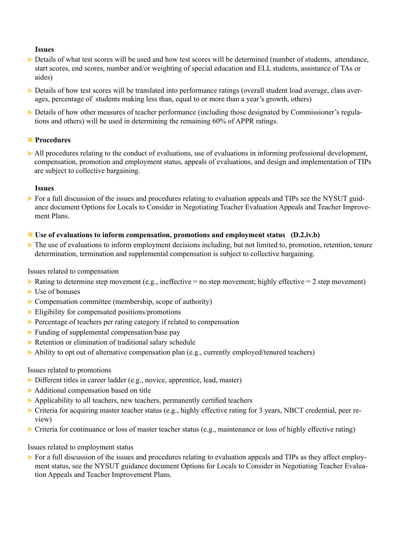#### **Issues**

- Details of what test scores will be used and how test scores will be determined (number of students, attendance, start scores, end scores, number and/or weighting of special education and ELL students, assistance of TAs or aides)
- $\triangleright$  Details of how test scores will be translated into performance ratings (overall student load average, class averages, percentage of students making less than, equal to or more than a year's growth, others)
- $\triangleright$  Details of how other measures of teacher performance (including those designated by Commissioner's regulations and others) will be used in determining the remaining 60% of APPR ratings.

#### **n** Procedures

 $\triangleright$  All procedures relating to the conduct of evaluations, use of evaluations in informing professional development, compensation, promotion and employment status, appeals of evaluations, and design and implementation of TIPs are subject to collective bargaining.

#### **Issues**

 $\triangleright$  For a full discussion of the issues and procedures relating to evaluation appeals and TIPs see the NYSUT guidance document Options for Locals to Consider in Negotiating Teacher Evaluation Appeals and Teacher Improvement Plans.

#### $\blacksquare$  Use of evaluations to inform compensation, promotions and employment status (D.2.iv.b)

 $\blacktriangleright$  The use of evaluations to inform employment decisions including, but not limited to, promotion, retention, tenure determination, termination and supplemental compensation is subject to collective bargaining.

Issues related to compensation

- Rating to determine step movement (e.g., ineffective  $=$  no step movement; highly effective  $=$  2 step movement)
- $\blacktriangleright$  Use of bonuses
- $\triangleright$  Compensation committee (membership, scope of authority)
- $\blacktriangleright$  Eligibility for compensated positions/promotions
- $\triangleright$  Percentage of teachers per rating category if related to compensation
- $\blacktriangleright$  Funding of supplemental compensation/base pay
- $\triangleright$  Retention or elimination of traditional salary schedule
- $\triangleright$  Ability to opt out of alternative compensation plan (e.g., currently employed/tenured teachers)

#### Issues related to promotions

- $\triangleright$  Different titles in career ladder (e.g., novice, apprentice, lead, master)
- $\blacktriangleright$  Additional compensation based on title
- $\blacktriangleright$  Applicability to all teachers, new teachers, permanently certified teachers
- $\triangleright$  Criteria for acquiring master teacher status (e.g., highly effective rating for 3 years, NBCT credential, peer review)
- $\triangleright$  Criteria for continuance or loss of master teacher status (e.g., maintenance or loss of highly effective rating)

Issues related to employment status

For a full discussion of the issues and procedures relating to evaluation appeals and TIPs as they affect employment status, see the NYSUT guidance document Options for Locals to Consider in Negotiating Teacher Evaluation Appeals and Teacher Improvement Plans.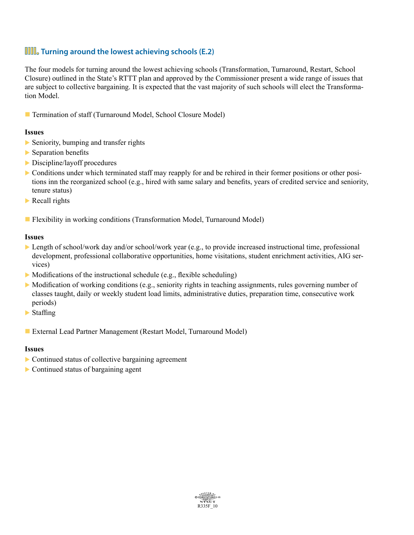## **IIII. Turning around the lowest achieving schools (E.2)**

The four models for turning around the lowest achieving schools (Transformation, Turnaround, Restart, School Closure) outlined in the State's RTTT plan and approved by the Commissioner present a wide range of issues that are subject to collective bargaining. It is expected that the vast majority of such schools will elect the Transformation Model.

■ Termination of staff (Turnaround Model, School Closure Model)

#### **Issues**

- $\triangleright$  Seniority, bumping and transfer rights
- $\blacktriangleright$  Separation benefits
- $\triangleright$  Discipline/layoff procedures
- $\triangleright$  Conditions under which terminated staff may reapply for and be rehired in their former positions or other positions inn the reorganized school (e.g., hired with same salary and benefits, years of credited service and seniority, tenure status)
- $\blacktriangleright$  Recall rights
- **Flexibility in working conditions (Transformation Model, Turnaround Model)**

#### **Issues**

- Length of school/work day and/or school/work year (e.g., to provide increased instructional time, professional development, professional collaborative opportunities, home visitations, student enrichment activities, AIG services)
- $\triangleright$  Modifications of the instructional schedule (e.g., flexible scheduling)
- $\triangleright$  Modification of working conditions (e.g., seniority rights in teaching assignments, rules governing number of classes taught, daily or weekly student load limits, administrative duties, preparation time, consecutive work periods)
- $\blacktriangleright$  Staffing
- External Lead Partner Management (Restart Model, Turnaround Model)

#### **Issues**

- $\triangleright$  Continued status of collective bargaining agreement
- $\triangleright$  Continued status of bargaining agent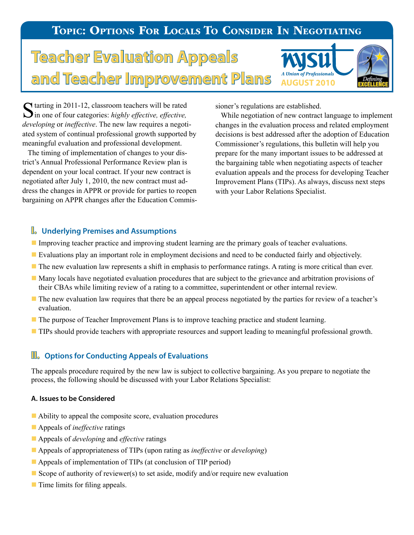# TOPIC: OPTIONS FOR LOCALS TO CONSIDER IN NEGOTIATING

# **Teacher Evaluation Appeals Teacher Improvement Plans** AUGIUST 2010



Starting in 2011-12, classroom teachers will be rated in one of four categories: *highly effective, effective, developing* or *ineffective*. The new law requires a negotiated system of continual professional growth supported by meaningful evaluation and professional development.

 The timing of implementation of changes to your district's Annual Professional Performance Review plan is dependent on your local contract. If your new contract is negotiated after July 1, 2010, the new contract must address the changes in APPR or provide for parties to reopen bargaining on APPR changes after the Education Commissioner's regulations are established.

 While negotiation of new contract language to implement changes in the evaluation process and related employment decisions is best addressed after the adoption of Education Commissioner's regulations, this bulletin will help you prepare for the many important issues to be addressed at the bargaining table when negotiating aspects of teacher evaluation appeals and the process for developing Teacher Improvement Plans (TIPs). As always, discuss next steps with your Labor Relations Specialist.

### **I. Underlying Premises and Assumptions**

- Improving teacher practice and improving student learning are the primary goals of teacher evaluations.
- n Evaluations play an important role in employment decisions and need to be conducted fairly and objectively.
- n The new evaluation law represents a shift in emphasis to performance ratings. A rating is more critical than ever.
- n Many locals have negotiated evaluation procedures that are subject to the grievance and arbitration provisions of their CBAs while limiting review of a rating to a committee, superintendent or other internal review.
- n The new evaluation law requires that there be an appeal process negotiated by the parties for review of a teacher's evaluation.
- The purpose of Teacher Improvement Plans is to improve teaching practice and student learning.
- **TIPs should provide teachers with appropriate resources and support leading to meaningful professional growth.**

#### **II. Options for Conducting Appeals of Evaluations**

The appeals procedure required by the new law is subject to collective bargaining. As you prepare to negotiate the process, the following should be discussed with your Labor Relations Specialist:

#### **A. Issues to be Considered**

- $\blacksquare$  Ability to appeal the composite score, evaluation procedures
- Appeals of *ineffective* ratings
- Appeals of *developing* and *effective* ratings
- n Appeals of appropriateness of TIPs (upon rating as *ineffective* or *developing*)
- **n** Appeals of implementation of TIPs (at conclusion of TIP period)
- Scope of authority of reviewer(s) to set aside, modify and/or require new evaluation
- $\blacksquare$  Time limits for filing appeals.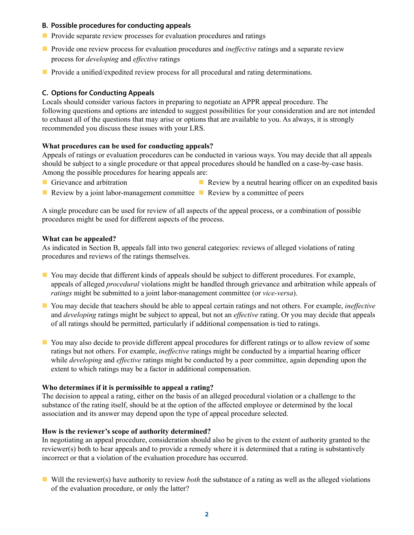#### **B. Possible procedures for conducting appeals**

- $\blacksquare$  Provide separate review processes for evaluation procedures and ratings
- **n** Provide one review process for evaluation procedures and *ineffective* ratings and a separate review process for *developing* and *effective* ratings
- **n** Provide a unified/expedited review process for all procedural and rating determinations.

#### **C. Options for Conducting Appeals**

Locals should consider various factors in preparing to negotiate an APPR appeal procedure. The following questions and options are intended to suggest possibilities for your consideration and are not intended to exhaust all of the questions that may arise or options that are available to you. As always, it is strongly recommended you discuss these issues with your LRS.

#### **What procedures can be used for conducting appeals?**

Appeals of ratings or evaluation procedures can be conducted in various ways. You may decide that all appeals should be subject to a single procedure or that appeal procedures should be handled on a case-by-case basis. Among the possible procedures for hearing appeals are:

**n** Grievance and arbitration

- Review by a neutral hearing officer on an expedited basis
- Review by a joint labor-management committee  $\blacksquare$  Review by a committee of peers

A single procedure can be used for review of all aspects of the appeal process, or a combination of possible procedures might be used for different aspects of the process.

#### **What can be appealed?**

As indicated in Section B, appeals fall into two general categories: reviews of alleged violations of rating procedures and reviews of the ratings themselves.

- You may decide that different kinds of appeals should be subject to different procedures. For example, appeals of alleged *procedural* violations might be handled through grievance and arbitration while appeals of *ratings* might be submitted to a joint labor-management committee (or *vice-versa*).
- n You may decide that teachers should be able to appeal certain ratings and not others. For example, *ineffective* and *developing* ratings might be subject to appeal, but not an *effective* rating. Or you may decide that appeals of all ratings should be permitted, particularly if additional compensation is tied to ratings.
- n You may also decide to provide different appeal procedures for different ratings or to allow review of some ratings but not others. For example, *ineffective* ratings might be conducted by a impartial hearing officer while *developing* and *effective* ratings might be conducted by a peer committee, again depending upon the extent to which ratings may be a factor in additional compensation.

#### **Who determines if it is permissible to appeal a rating?**

The decision to appeal a rating, either on the basis of an alleged procedural violation or a challenge to the substance of the rating itself, should be at the option of the affected employee or determined by the local association and its answer may depend upon the type of appeal procedure selected.

#### **How is the reviewer's scope of authority determined?**

In negotiating an appeal procedure, consideration should also be given to the extent of authority granted to the reviewer(s) both to hear appeals and to provide a remedy where it is determined that a rating is substantively incorrect or that a violation of the evaluation procedure has occurred.

n Will the reviewer(s) have authority to review *both* the substance of a rating as well as the alleged violations of the evaluation procedure, or only the latter?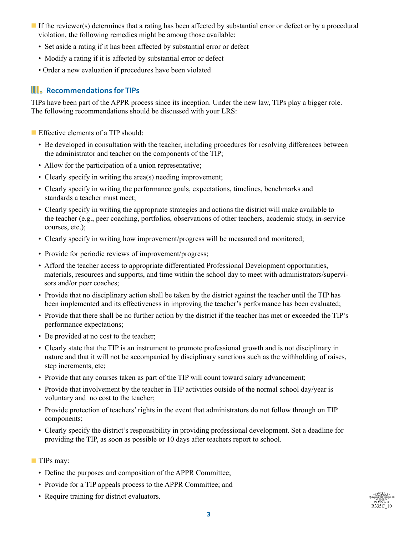- If the reviewer(s) determines that a rating has been affected by substantial error or defect or by a procedural violation, the following remedies might be among those available:
	- Set aside a rating if it has been affected by substantial error or defect
	- Modify a rating if it is affected by substantial error or defect
	- Order a new evaluation if procedures have been violated

## **III. Recommendations for TIPs**

TIPs have been part of the APPR process since its inception. Under the new law, TIPs play a bigger role. The following recommendations should be discussed with your LRS:

- $\blacksquare$  Effective elements of a TIP should:
	- Be developed in consultation with the teacher, including procedures for resolving differences between the administrator and teacher on the components of the TIP;
	- Allow for the participation of a union representative;
	- Clearly specify in writing the area(s) needing improvement;
	- Clearly specify in writing the performance goals, expectations, timelines, benchmarks and standards a teacher must meet;
	- Clearly specify in writing the appropriate strategies and actions the district will make available to the teacher (e.g., peer coaching, portfolios, observations of other teachers, academic study, in-service courses, etc.);
	- Clearly specify in writing how improvement/progress will be measured and monitored;
	- Provide for periodic reviews of improvement/progress;
	- Afford the teacher access to appropriate differentiated Professional Development opportunities, materials, resources and supports, and time within the school day to meet with administrators/supervisors and/or peer coaches;
	- Provide that no disciplinary action shall be taken by the district against the teacher until the TIP has been implemented and its effectiveness in improving the teacher's performance has been evaluated;
	- Provide that there shall be no further action by the district if the teacher has met or exceeded the TIP's performance expectations;
	- Be provided at no cost to the teacher;
	- Clearly state that the TIP is an instrument to promote professional growth and is not disciplinary in nature and that it will not be accompanied by disciplinary sanctions such as the withholding of raises, step increments, etc;
	- Provide that any courses taken as part of the TIP will count toward salary advancement;
	- Provide that involvement by the teacher in TIP activities outside of the normal school day/year is voluntary and no cost to the teacher;
	- Provide protection of teachers' rights in the event that administrators do not follow through on TIP components;
	- Clearly specify the district's responsibility in providing professional development. Set a deadline for providing the TIP, as soon as possible or 10 days after teachers report to school.
- **TIPs may:** 
	- Define the purposes and composition of the APPR Committee;
	- Provide for a TIP appeals process to the APPR Committee; and
	- Require training for district evaluators.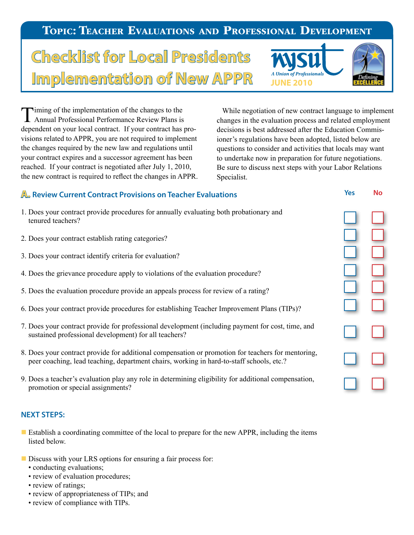## Topic: Teacher Evaluations and Professional Development

# **Checklist for Local Presidents Implementation of New APPR** *AUnion of Professio*



Timing of the implementation of the changes to the Annual Professional Performance Review Plans is dependent on your local contract. If your contract has provisions related to APPR, you are not required to implement the changes required by the new law and regulations until your contract expires and a successor agreement has been reached. If your contract is negotiated after July 1, 2010, the new contract is required to reflect the changes in APPR.

 While negotiation of new contract language to implement changes in the evaluation process and related employment decisions is best addressed after the Education Commisioner's regulations have been adopted, listed below are questions to consider and activities that locals may want to undertake now in preparation for future negotiations. Be sure to discuss next steps with your Labor Relations Specialist.

## **A. Review Current Contract Provisions on Teacher Evaluations**

- 1. Does your contract provide procedures for annually evaluating both probationary and tenured teachers?
- 2. Does your contract establish rating categories?
- 3. Does your contract identify criteria for evaluation?
- 4. Does the grievance procedure apply to violations of the evaluation procedure?
- 5. Does the evaluation procedure provide an appeals process for review of a rating?
- 6. Does your contract provide procedures for establishing Teacher Improvement Plans (TIPs)?
- 7. Does your contract provide for professional development (including payment for cost, time, and sustained professional development) for all teachers?
- 8. Does your contract provide for additional compensation or promotion for teachers for mentoring, peer coaching, lead teaching, department chairs, working in hard-to-staff schools, etc.?
- 9. Does a teacher's evaluation play any role in determining eligibility for additional compensation, promotion or special assignments?

#### **NEXT STEPS:**

- **Example 1** Establish a coordinating committee of the local to prepare for the new APPR, including the items listed below.
- Discuss with your LRS options for ensuring a fair process for:
	- conducting evaluations;
	- review of evaluation procedures;
	- review of ratings;
	- review of appropriateness of TIPs; and
	- review of compliance with TIPs.

| h. |
|----|
|    |
|    |

**Yes No**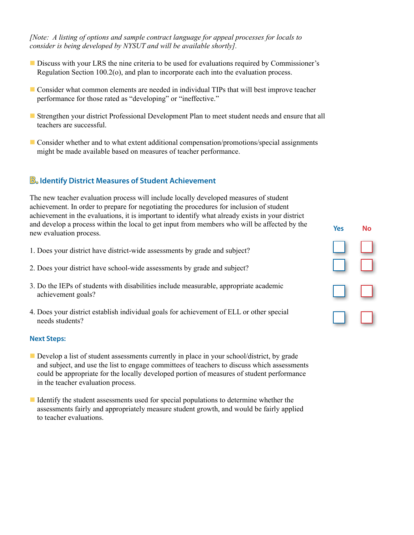*[Note: A listing of options and sample contract language for appeal processes for locals to consider is being developed by NYSUT and will be available shortly].*

- Discuss with your LRS the nine criteria to be used for evaluations required by Commissioner's Regulation Section 100.2(o), and plan to incorporate each into the evaluation process.
- **n** Consider what common elements are needed in individual TIPs that will best improve teacher performance for those rated as "developing" or "ineffective."
- **Example 1** Strengthen your district Professional Development Plan to meet student needs and ensure that all teachers are successful.
- **n** Consider whether and to what extent additional compensation/promotions/special assignments might be made available based on measures of teacher performance.

## **B. Identify District Measures of Student Achievement**

The new teacher evaluation process will include locally developed measures of student achievement. In order to prepare for negotiating the procedures for inclusion of student achievement in the evaluations, it is important to identify what already exists in your district and develop a process within the local to get input from members who will be affected by the new evaluation process.

- 1. Does your district have district-wide assessments by grade and subject?
- 2. Does your district have school-wide assessments by grade and subject?
- 3. Do the IEPs of students with disabilities include measurable, appropriate academic achievement goals?
- 4. Does your district establish individual goals for achievement of ELL or other special needs students?

#### **Next Steps:**

- Develop a list of student assessments currently in place in your school/district, by grade and subject, and use the list to engage committees of teachers to discuss which assessments could be appropriate for the locally developed portion of measures of student performance in the teacher evaluation process.
- I Identify the student assessments used for special populations to determine whether the assessments fairly and appropriately measure student growth, and would be fairly applied to teacher evaluations.

| <b>Yes</b> | No |
|------------|----|
|            |    |
|            |    |
|            |    |
|            |    |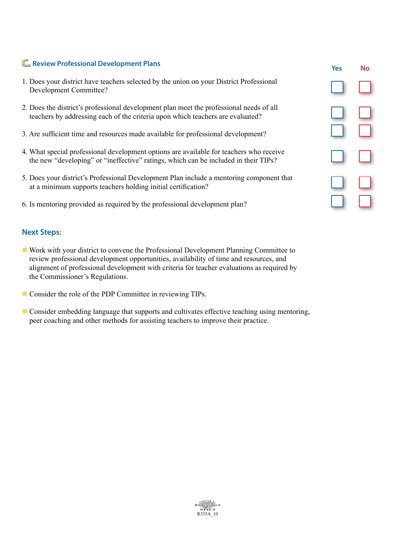## **C. Review Professional Development Plans**

- 1. Does your district have teachers selected by the union on your District Professional Development Committee?
- 2. Does the district's professional development plan meet the professional needs of all teachers by addressing each of the criteria upon which teachers are evaluated?
- 3. Are sufficient time and resources made available for professional development?
- 4. What special professional development options are available for teachers who receive the new "developing" or "ineffective" ratings, which can be included in their TIPs?
- 5. Does your district's Professional Development Plan include a mentoring component that at a minimum supports teachers holding initial certification?
- 6. Is mentoring provided as required by the professional development plan?

#### **Next Steps:**

- n Work with your district to convene the Professional Development Planning Committee to review professional development opportunities, availability of time and resources, and alignment of professional development with criteria for teacher evaluations as required by the Commissioner's Regulations.
- Consider the role of the PDP Committee in reviewing TIPs.
- **n** Consider embedding language that supports and cultivates effective teaching using mentoring, peer coaching and other methods for assisting teachers to improve their practice.

| Yes | No |
|-----|----|
|     |    |
|     |    |
|     |    |
|     |    |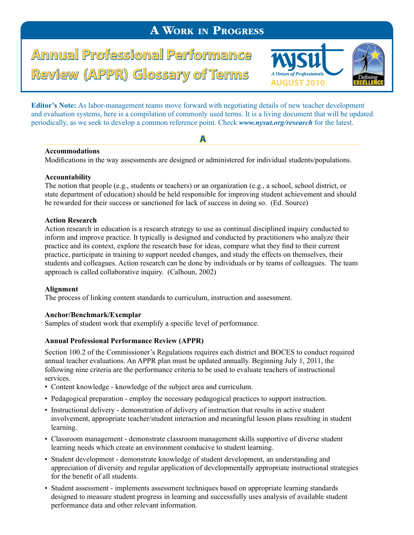# A Work in Progress

**Annual Professional Performance** Review (APPR) Glossary of Terms Automorprofesionals



**Editor's Note:** As labor-management teams move forward with negotiating details of new teacher development and evaluation systems, here is a compilation of commonly used terms. It is a living document that will be updated periodically, as we seek to develop a common reference point. Check *www.nysut.org/research* for the latest.

**A** 

#### **Accommodations**

Modifications in the way assessments are designed or administered for individual students/populations.

#### **Accountability**

The notion that people (e.g., students or teachers) or an organization (e.g., a school, school district, or state department of education) should be held responsible for improving student achievement and should be rewarded for their success or sanctioned for lack of success in doing so. (Ed. Source)

#### **Action Research**

Action research in education is a research strategy to use as continual disciplined inquiry conducted to inform and improve practice. It typically is designed and conducted by practitioners who analyze their practice and its context, explore the research base for ideas, compare what they find to their current practice, participate in training to support needed changes, and study the effects on themselves, their students and colleagues. Action research can be done by individuals or by teams of colleagues. The team approach is called collaborative inquiry. (Calhoun, 2002)

#### **Alignment**

The process of linking content standards to curriculum, instruction and assessment.

#### **Anchor/Benchmark/Exemplar**

Samples of student work that exemplify a specific level of performance.

#### **Annual Professional Performance Review (APPR)**

Section 100.2 of the Commissioner's Regulations requires each district and BOCES to conduct required annual teacher evaluations. An APPR plan must be updated annually. Beginning July 1, 2011, the following nine criteria are the performance criteria to be used to evaluate teachers of instructional services.

- Content knowledge knowledge of the subject area and curriculum.
- Pedagogical preparation employ the necessary pedagogical practices to support instruction.
- Instructional delivery demonstration of delivery of instruction that results in active student involvement, appropriate teacher/student interaction and meaningful lesson plans resulting in student learning.
- Classroom management demonstrate classroom management skills supportive of diverse student learning needs which create an environment conducive to student learning.
- Student development demonstrate knowledge of student development, an understanding and appreciation of diversity and regular application of developmentally appropriate instructional strategies for the benefit of all students.
- Student assessment implements assessment techniques based on appropriate learning standards designed to measure student progress in learning and successfully uses analysis of available student performance data and other relevant information.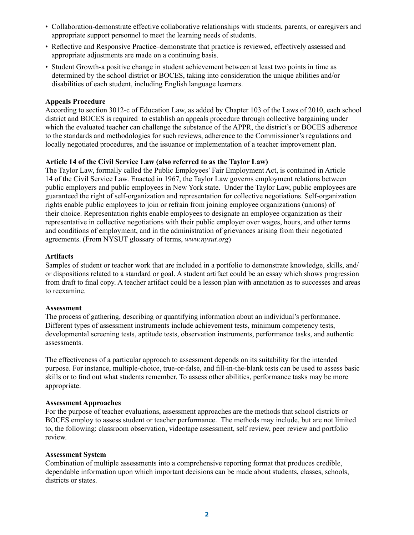- Collaboration-demonstrate effective collaborative relationships with students, parents, or caregivers and appropriate support personnel to meet the learning needs of students.
- Reflective and Responsive Practice–demonstrate that practice is reviewed, effectively assessed and appropriate adjustments are made on a continuing basis.
- Student Growth-a positive change in student achievement between at least two points in time as determined by the school district or BOCES, taking into consideration the unique abilities and/or disabilities of each student, including English language learners.

#### **Appeals Procedure**

According to section 3012-c of Education Law, as added by Chapter 103 of the Laws of 2010, each school district and BOCES is required to establish an appeals procedure through collective bargaining under which the evaluated teacher can challenge the substance of the APPR, the district's or BOCES adherence to the standards and methodologies for such reviews, adherence to the Commissioner's regulations and locally negotiated procedures, and the issuance or implementation of a teacher improvement plan.

#### **Article 14 of the Civil Service Law (also referred to as the Taylor Law)**

The Taylor Law, formally called the Public Employees' Fair Employment Act, is contained in Article 14 of the Civil Service Law. Enacted in 1967, the Taylor Law governs employment relations between public employers and public employees in New York state. Under the Taylor Law, public employees are guaranteed the right of self-organization and representation for collective negotiations. Self-organization rights enable public employees to join or refrain from joining employee organizations (unions) of their choice. Representation rights enable employees to designate an employee organization as their representative in collective negotiations with their public employer over wages, hours, and other terms and conditions of employment, and in the administration of grievances arising from their negotiated agreements. (From NYSUT glossary of terms, *www.nysut.org*)

#### **Artifacts**

Samples of student or teacher work that are included in a portfolio to demonstrate knowledge, skills, and/ or dispositions related to a standard or goal. A student artifact could be an essay which shows progression from draft to final copy. A teacher artifact could be a lesson plan with annotation as to successes and areas to reexamine.

#### **Assessment**

The process of gathering, describing or quantifying information about an individual's performance. Different types of assessment instruments include achievement tests, minimum competency tests, developmental screening tests, aptitude tests, observation instruments, performance tasks, and authentic assessments.

The effectiveness of a particular approach to assessment depends on its suitability for the intended purpose. For instance, multiple-choice, true-or-false, and fill-in-the-blank tests can be used to assess basic skills or to find out what students remember. To assess other abilities, performance tasks may be more appropriate.

#### **Assessment Approaches**

For the purpose of teacher evaluations, assessment approaches are the methods that school districts or BOCES employ to assess student or teacher performance. The methods may include, but are not limited to, the following: classroom observation, videotape assessment, self review, peer review and portfolio review.

#### **Assessment System**

Combination of multiple assessments into a comprehensive reporting format that produces credible, dependable information upon which important decisions can be made about students, classes, schools, districts or states.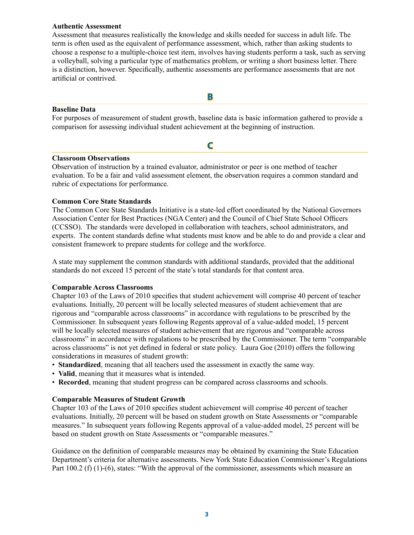#### **Authentic Assessment**

Assessment that measures realistically the knowledge and skills needed for success in adult life. The term is often used as the equivalent of performance assessment, which, rather than asking students to choose a response to a multiple-choice test item, involves having students perform a task, such as serving a volleyball, solving a particular type of mathematics problem, or writing a short business letter. There is a distinction, however. Specifically, authentic assessments are performance assessments that are not artificial or contrived.

#### **Baseline Data**

For purposes of measurement of student growth, baseline data is basic information gathered to provide a comparison for assessing individual student achievement at the beginning of instruction.

**C**

**B**

#### **Classroom Observations**

Observation of instruction by a trained evaluator, administrator or peer is one method of teacher evaluation. To be a fair and valid assessment element, the observation requires a common standard and rubric of expectations for performance.

#### **Common Core State Standards**

The Common Core State Standards Initiative is a state-led effort coordinated by the National Governors Association Center for Best Practices (NGA Center) and the Council of Chief State School Officers (CCSSO). The standards were developed in collaboration with teachers, school administrators, and experts. The content standards define what students must know and be able to do and provide a clear and consistent framework to prepare students for college and the workforce.

A state may supplement the common standards with additional standards, provided that the additional standards do not exceed 15 percent of the state's total standards for that content area.

#### **Comparable Across Classrooms**

Chapter 103 of the Laws of 2010 specifies that student achievement will comprise 40 percent of teacher evaluations. Initially, 20 percent will be locally selected measures of student achievement that are rigorous and "comparable across classrooms" in accordance with regulations to be prescribed by the Commissioner. In subsequent years following Regents approval of a value-added model, 15 percent will be locally selected measures of student achievement that are rigorous and "comparable across classrooms" in accordance with regulations to be prescribed by the Commissioner. The term "comparable across classrooms" is not yet defined in federal or state policy. Laura Goe (2010) offers the following considerations in measures of student growth:

- **Standardized**, meaning that all teachers used the assessment in exactly the same way.
- **Valid**, meaning that it measures what is intended.
- **Recorded**, meaning that student progress can be compared across classrooms and schools.

#### **Comparable Measures of Student Growth**

Chapter 103 of the Laws of 2010 specifies student achievement will comprise 40 percent of teacher evaluations. Initially, 20 percent will be based on student growth on State Assessments or "comparable measures." In subsequent years following Regents approval of a value-added model, 25 percent will be based on student growth on State Assessments or "comparable measures."

Guidance on the definition of comparable measures may be obtained by examining the State Education Department's criteria for alternative assessments. New York State Education Commissioner's Regulations Part 100.2 (f) (1)-(6), states: "With the approval of the commissioner, assessments which measure an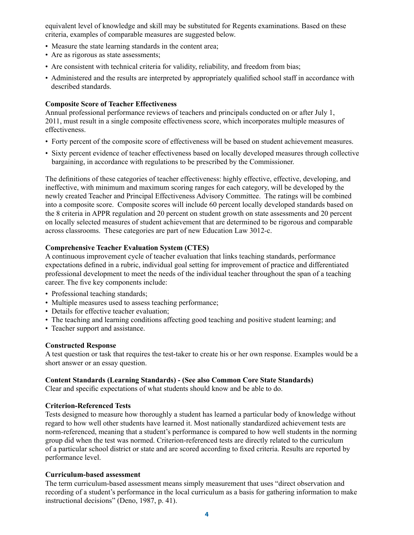equivalent level of knowledge and skill may be substituted for Regents examinations. Based on these criteria, examples of comparable measures are suggested below.

- Measure the state learning standards in the content area;
- Are as rigorous as state assessments;
- Are consistent with technical criteria for validity, reliability, and freedom from bias;
- Administered and the results are interpreted by appropriately qualified school staff in accordance with described standards.

#### **Composite Score of Teacher Effectiveness**

Annual professional performance reviews of teachers and principals conducted on or after July 1, 2011, must result in a single composite effectiveness score, which incorporates multiple measures of effectiveness.

- Forty percent of the composite score of effectiveness will be based on student achievement measures.
- Sixty percent evidence of teacher effectiveness based on locally developed measures through collective bargaining, in accordance with regulations to be prescribed by the Commissioner.

The definitions of these categories of teacher effectiveness: highly effective, effective, developing, and ineffective, with minimum and maximum scoring ranges for each category, will be developed by the newly created Teacher and Principal Effectiveness Advisory Committee. The ratings will be combined into a composite score. Composite scores will include 60 percent locally developed standards based on the 8 criteria in APPR regulation and 20 percent on student growth on state assessments and 20 percent on locally selected measures of student achievement that are determined to be rigorous and comparable across classrooms. These categories are part of new Education Law 3012-c.

#### **Comprehensive Teacher Evaluation System (CTES)**

A continuous improvement cycle of teacher evaluation that links teaching standards, performance expectations defined in a rubric, individual goal setting for improvement of practice and differentiated professional development to meet the needs of the individual teacher throughout the span of a teaching career. The five key components include:

- Professional teaching standards;
- Multiple measures used to assess teaching performance;
- Details for effective teacher evaluation;
- The teaching and learning conditions affecting good teaching and positive student learning; and
- Teacher support and assistance.

#### **Constructed Response**

A test question or task that requires the test-taker to create his or her own response. Examples would be a short answer or an essay question.

#### **Content Standards (Learning Standards) - (See also Common Core State Standards)**

Clear and specific expectations of what students should know and be able to do.

#### **Criterion-Referenced Tests**

Tests designed to measure how thoroughly a student has learned a particular body of knowledge without regard to how well other students have learned it. Most nationally standardized achievement tests are norm-referenced, meaning that a student's performance is compared to how well students in the norming group did when the test was normed. Criterion-referenced tests are directly related to the curriculum of a particular school district or state and are scored according to fixed criteria. Results are reported by performance level.

#### **Curriculum-based assessment**

The term curriculum-based assessment means simply measurement that uses "direct observation and recording of a student's performance in the local curriculum as a basis for gathering information to make instructional decisions" (Deno, 1987, p. 41).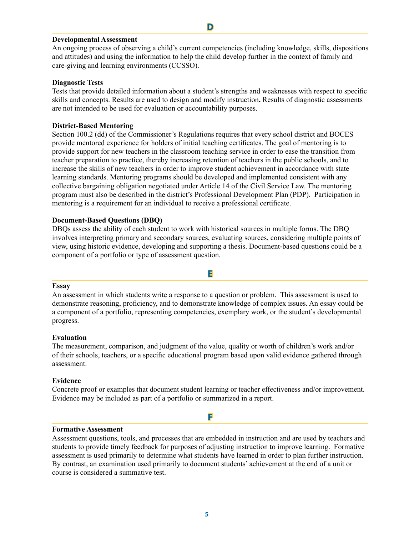#### **Developmental Assessment**

An ongoing process of observing a child's current competencies (including knowledge, skills, dispositions and attitudes) and using the information to help the child develop further in the context of family and care-giving and learning environments (CCSSO).

**D**

#### **Diagnostic Tests**

Tests that provide detailed information about a student's strengths and weaknesses with respect to specific skills and concepts. Results are used to design and modify instruction**.** Results of diagnostic assessments are not intended to be used for evaluation or accountability purposes.

#### **District-Based Mentoring**

Section 100.2 (dd) of the Commissioner's Regulations requires that every school district and BOCES provide mentored experience for holders of initial teaching certificates. The goal of mentoring is to provide support for new teachers in the classroom teaching service in order to ease the transition from teacher preparation to practice, thereby increasing retention of teachers in the public schools, and to increase the skills of new teachers in order to improve student achievement in accordance with state learning standards. Mentoring programs should be developed and implemented consistent with any collective bargaining obligation negotiated under Article 14 of the Civil Service Law. The mentoring program must also be described in the district's Professional Development Plan (PDP). Participation in mentoring is a requirement for an individual to receive a professional certificate.

#### **Document-Based Questions (DBQ)**

DBQs assess the ability of each student to work with historical sources in multiple forms. The DBQ involves interpreting primary and secondary sources, evaluating sources, considering multiple points of view, using historic evidence, developing and supporting a thesis. Document-based questions could be a component of a portfolio or type of assessment question.

#### **Essay**

An assessment in which students write a response to a question or problem. This assessment is used to demonstrate reasoning, proficiency, and to demonstrate knowledge of complex issues. An essay could be a component of a portfolio, representing competencies, exemplary work, or the student's developmental progress.

**E**

#### **Evaluation**

The measurement, comparison, and judgment of the value, quality or worth of children's work and/or of their schools, teachers, or a specific educational program based upon valid evidence gathered through assessment.

#### **Evidence**

Concrete proof or examples that document student learning or teacher effectiveness and/or improvement. Evidence may be included as part of a portfolio or summarized in a report.

**F**

#### **Formative Assessment**

Assessment questions, tools, and processes that are embedded in instruction and are used by teachers and students to provide timely feedback for purposes of adjusting instruction to improve learning. Formative assessment is used primarily to determine what students have learned in order to plan further instruction. By contrast, an examination used primarily to document students' achievement at the end of a unit or course is considered a summative test.

**5**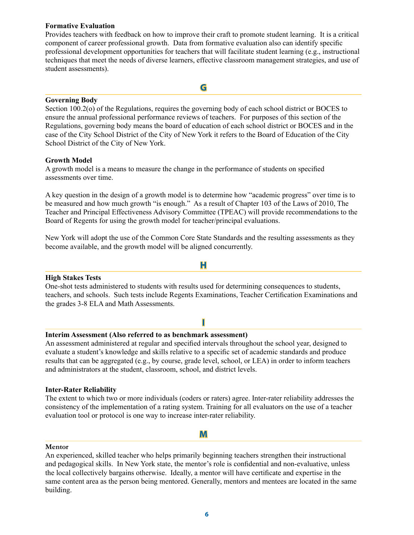#### **Formative Evaluation**

Provides teachers with feedback on how to improve their craft to promote student learning. It is a critical component of career professional growth. Data from formative evaluation also can identify specific professional development opportunities for teachers that will facilitate student learning (e.g., instructional techniques that meet the needs of diverse learners, effective classroom management strategies, and use of student assessments).

**G**

#### **Governing Body**

Section 100.2(o) of the Regulations, requires the governing body of each school district or BOCES to ensure the annual professional performance reviews of teachers. For purposes of this section of the Regulations, governing body means the board of education of each school district or BOCES and in the case of the City School District of the City of New York it refers to the Board of Education of the City School District of the City of New York.

#### **Growth Model**

A growth model is a means to measure the change in the performance of students on specified assessments over time.

A key question in the design of a growth model is to determine how "academic progress" over time is to be measured and how much growth "is enough." As a result of Chapter 103 of the Laws of 2010, The Teacher and Principal Effectiveness Advisory Committee (TPEAC) will provide recommendations to the Board of Regents for using the growth model for teacher/principal evaluations.

New York will adopt the use of the Common Core State Standards and the resulting assessments as they become available, and the growth model will be aligned concurrently.

#### **High Stakes Tests**

One-shot tests administered to students with results used for determining consequences to students, teachers, and schools. Such tests include Regents Examinations, Teacher Certification Examinations and the grades 3-8 ELA and Math Assessments.

**H**

#### **I**

#### **Interim Assessment (Also referred to as benchmark assessment)**

An assessment administered at regular and specified intervals throughout the school year, designed to evaluate a student's knowledge and skills relative to a specific set of academic standards and produce results that can be aggregated (e.g., by course, grade level, school, or LEA) in order to inform teachers and administrators at the student, classroom, school, and district levels.

#### **Inter-Rater Reliability**

The extent to which two or more individuals (coders or raters) agree. Inter-rater reliability addresses the consistency of the implementation of a rating system. Training for all evaluators on the use of a teacher evaluation tool or protocol is one way to increase inter-rater reliability.

#### **M**

#### **Mentor**

An experienced, skilled teacher who helps primarily beginning teachers strengthen their instructional and pedagogical skills. In New York state, the mentor's role is confidential and non-evaluative, unless the local collectively bargains otherwise. Ideally, a mentor will have certificate and expertise in the same content area as the person being mentored. Generally, mentors and mentees are located in the same building.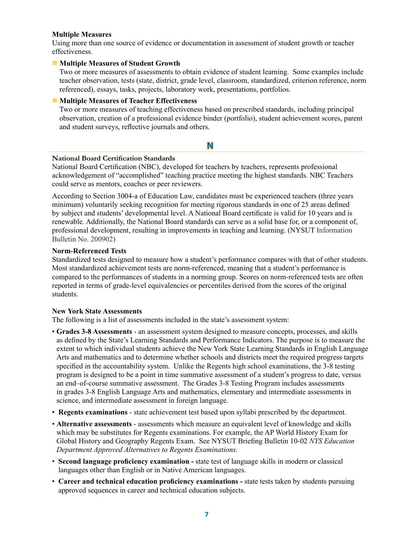#### **Multiple Measures**

Using more than one source of evidence or documentation in assessment of student growth or teacher effectiveness.

#### **n** Multiple Measures of Student Growth

Two or more measures of assessments to obtain evidence of student learning. Some examples include teacher observation, tests (state, district, grade level, classroom, standardized, criterion reference, norm referenced), essays, tasks, projects, laboratory work, presentations, portfolios.

#### $\blacksquare$  Multiple Measures of Teacher Effectiveness

Two or more measures of teaching effectiveness based on prescribed standards, including principal observation, creation of a professional evidence binder (portfolio), student achievement scores, parent and student surveys, reflective journals and others.

#### **N**

#### **National Board Certification Standards**

National Board Certification (NBC), developed for teachers by teachers, represents professional acknowledgement of "accomplished" teaching practice meeting the highest standards. NBC Teachers could serve as mentors, coaches or peer reviewers.

According to Section 3004-a of Education Law, candidates must be experienced teachers (three years minimum) voluntarily seeking recognition for meeting rigorous standards in one of 25 areas defined by subject and students' developmental level. A National Board certificate is valid for 10 years and is renewable. Additionally, the National Board standards can serve as a solid base for, or a component of, professional development, resulting in improvements in teaching and learning. (NYSUT Information Bulletin No. 200902)

#### **Norm-Referenced Tests**

Standardized tests designed to measure how a student's performance compares with that of other students. Most standardized achievement tests are norm-referenced, meaning that a student's performance is compared to the performances of students in a norming group. Scores on norm-referenced tests are often reported in terms of grade-level equivalencies or percentiles derived from the scores of the original students.

#### **New York State Assessments**

The following is a list of assessments included in the state's assessment system:

- **Grades 3-8 Assessments** an assessment system designed to measure concepts, processes, and skills as defined by the State's Learning Standards and Performance Indicators. The purpose is to measure the extent to which individual students achieve the New York State Learning Standards in English Language Arts and mathematics and to determine whether schools and districts meet the required progress targets specified in the accountability system. Unlike the Regents high school examinations, the 3-8 testing program is designed to be a point in time summative assessment of a student's progress to date, versus an end–of-course summative assessment. The Grades 3-8 Testing Program includes assessments in grades 3-8 English Language Arts and mathematics, elementary and intermediate assessments in science, and intermediate assessment in foreign language.
- **Regents examinations** state achievement test based upon syllabi prescribed by the department.
- **Alternative assessments** assessments which measure an equivalent level of knowledge and skills which may be substitutes for Regents examinations. For example, the AP World History Exam for Global History and Geography Regents Exam. See NYSUT Briefing Bulletin 10-02 *NYS Education Department Approved Alternatives to Regents Examinations.*
- **Second language proficiency examination -** state test of language skills in modern or classical languages other than English or in Native American languages.
- **Career and technical education proficiency examinations -** state tests taken by students pursuing approved sequences in career and technical education subjects.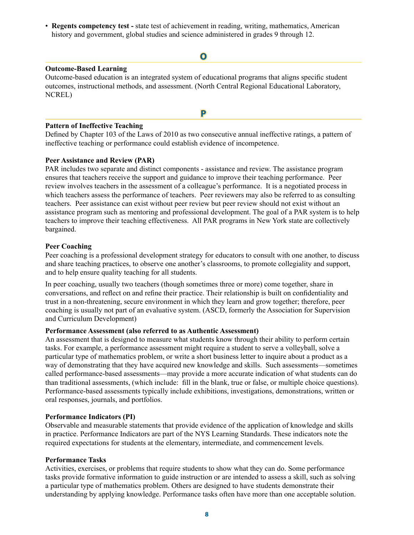• **Regents competency test -** state test of achievement in reading, writing, mathematics, American history and government, global studies and science administered in grades 9 through 12.

#### **O**

#### **Outcome-Based Learning**

Outcome-based education is an integrated system of educational programs that aligns specific student outcomes, instructional methods, and assessment. (North Central Regional Educational Laboratory, NCREL)

#### **Pattern of Ineffective Teaching**

Defined by Chapter 103 of the Laws of 2010 as two consecutive annual ineffective ratings, a pattern of ineffective teaching or performance could establish evidence of incompetence.

**P**

#### **Peer Assistance and Review (PAR)**

PAR includes two separate and distinct components - assistance and review. The assistance program ensures that teachers receive the support and guidance to improve their teaching performance. Peer review involves teachers in the assessment of a colleague's performance. It is a negotiated process in which teachers assess the performance of teachers. Peer reviewers may also be referred to as consulting teachers. Peer assistance can exist without peer review but peer review should not exist without an assistance program such as mentoring and professional development. The goal of a PAR system is to help teachers to improve their teaching effectiveness. All PAR programs in New York state are collectively bargained.

#### **Peer Coaching**

Peer coaching is a professional development strategy for educators to consult with one another, to discuss and share teaching practices, to observe one another's classrooms, to promote collegiality and support, and to help ensure quality teaching for all students.

In peer coaching, usually two teachers (though sometimes three or more) come together, share in conversations, and reflect on and refine their practice. Their relationship is built on confidentiality and trust in a non-threatening, secure environment in which they learn and grow together; therefore, peer coaching is usually not part of an evaluative system. (ASCD, formerly the Association for Supervision and Curriculum Development)

#### **Performance Assessment (also referred to as Authentic Assessment)**

An assessment that is designed to measure what students know through their ability to perform certain tasks. For example, a performance assessment might require a student to serve a volleyball, solve a particular type of mathematics problem, or write a short business letter to inquire about a product as a way of demonstrating that they have acquired new knowledge and skills. Such assessments—sometimes called performance-based assessments—may provide a more accurate indication of what students can do than traditional assessments, (which include: fill in the blank, true or false, or multiple choice questions). Performance-based assessments typically include exhibitions, investigations, demonstrations, written or oral responses, journals, and portfolios.

#### **Performance Indicators (PI)**

Observable and measurable statements that provide evidence of the application of knowledge and skills in practice. Performance Indicators are part of the NYS Learning Standards. These indicators note the required expectations for students at the elementary, intermediate, and commencement levels.

#### **Performance Tasks**

Activities, exercises, or problems that require students to show what they can do. Some performance tasks provide formative information to guide instruction or are intended to assess a skill, such as solving a particular type of mathematics problem. Others are designed to have students demonstrate their understanding by applying knowledge. Performance tasks often have more than one acceptable solution.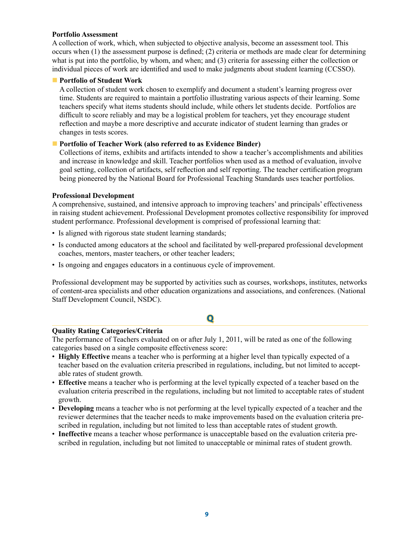#### **Portfolio Assessment**

A collection of work, which, when subjected to objective analysis, become an assessment tool. This occurs when (1) the assessment purpose is defined; (2) criteria or methods are made clear for determining what is put into the portfolio, by whom, and when; and (3) criteria for assessing either the collection or individual pieces of work are identified and used to make judgments about student learning (CCSSO).

#### **n** Portfolio of Student Work

A collection of student work chosen to exemplify and document a student's learning progress over time. Students are required to maintain a portfolio illustrating various aspects of their learning. Some teachers specify what items students should include, while others let students decide. Portfolios are difficult to score reliably and may be a logistical problem for teachers, yet they encourage student reflection and maybe a more descriptive and accurate indicator of student learning than grades or changes in tests scores.

#### **Portfolio of Teacher Work (also referred to as Evidence Binder)**

Collections of items, exhibits and artifacts intended to show a teacher's accomplishments and abilities and increase in knowledge and skill. Teacher portfolios when used as a method of evaluation, involve goal setting, collection of artifacts, self reflection and self reporting. The teacher certification program being pioneered by the National Board for Professional Teaching Standards uses teacher portfolios.

#### **Professional Development**

A comprehensive, sustained, and intensive approach to improving teachers' and principals' effectiveness in raising student achievement. Professional Development promotes collective responsibility for improved student performance. Professional development is comprised of professional learning that:

- Is aligned with rigorous state student learning standards;
- Is conducted among educators at the school and facilitated by well-prepared professional development coaches, mentors, master teachers, or other teacher leaders;
- Is ongoing and engages educators in a continuous cycle of improvement.

Professional development may be supported by activities such as courses, workshops, institutes, networks of content-area specialists and other education organizations and associations, and conferences. (National Staff Development Council, NSDC).

## **Q**

#### **Quality Rating Categories/Criteria**

The performance of Teachers evaluated on or after July 1, 2011, will be rated as one of the following categories based on a single composite effectiveness score:

- **Highly Effective** means a teacher who is performing at a higher level than typically expected of a teacher based on the evaluation criteria prescribed in regulations, including, but not limited to acceptable rates of student growth.
- **Effective** means a teacher who is performing at the level typically expected of a teacher based on the evaluation criteria prescribed in the regulations, including but not limited to acceptable rates of student growth.
- **Developing** means a teacher who is not performing at the level typically expected of a teacher and the reviewer determines that the teacher needs to make improvements based on the evaluation criteria prescribed in regulation, including but not limited to less than acceptable rates of student growth.
- **Ineffective** means a teacher whose performance is unacceptable based on the evaluation criteria prescribed in regulation, including but not limited to unacceptable or minimal rates of student growth.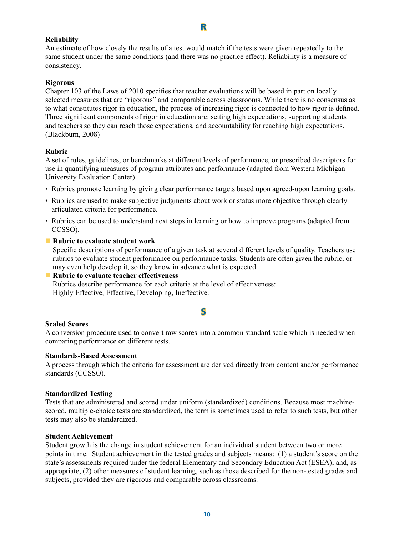#### **Reliability**

An estimate of how closely the results of a test would match if the tests were given repeatedly to the same student under the same conditions (and there was no practice effect). Reliability is a measure of consistency.

**R**

#### **Rigorous**

Chapter 103 of the Laws of 2010 specifies that teacher evaluations will be based in part on locally selected measures that are "rigorous" and comparable across classrooms. While there is no consensus as to what constitutes rigor in education, the process of increasing rigor is connected to how rigor is defined. Three significant components of rigor in education are: setting high expectations, supporting students and teachers so they can reach those expectations, and accountability for reaching high expectations. (Blackburn, 2008)

#### **Rubric**

A set of rules, guidelines, or benchmarks at different levels of performance, or prescribed descriptors for use in quantifying measures of program attributes and performance (adapted from Western Michigan University Evaluation Center).

- Rubrics promote learning by giving clear performance targets based upon agreed-upon learning goals.
- Rubrics are used to make subjective judgments about work or status more objective through clearly articulated criteria for performance.
- Rubrics can be used to understand next steps in learning or how to improve programs (adapted from CCSSO).

#### **n** Rubric to evaluate student work

Specific descriptions of performance of a given task at several different levels of quality. Teachers use rubrics to evaluate student performance on performance tasks. Students are often given the rubric, or may even help develop it, so they know in advance what is expected.

#### **Example 1** Rubric to evaluate teacher effectiveness

Rubrics describe performance for each criteria at the level of effectiveness: Highly Effective, Effective, Developing, Ineffective.

#### **S**

#### **Scaled Scores**

A conversion procedure used to convert raw scores into a common standard scale which is needed when comparing performance on different tests.

#### **Standards-Based Assessment**

A process through which the criteria for assessment are derived directly from content and/or performance standards (CCSSO).

#### **Standardized Testing**

Tests that are administered and scored under uniform (standardized) conditions. Because most machinescored, multiple-choice tests are standardized, the term is sometimes used to refer to such tests, but other tests may also be standardized.

#### **Student Achievement**

Student growth is the change in student achievement for an individual student between two or more points in time. Student achievement in the tested grades and subjects means: (1) a student's score on the state's assessments required under the federal Elementary and Secondary Education Act (ESEA); and, as appropriate, (2) other measures of student learning, such as those described for the non-tested grades and subjects, provided they are rigorous and comparable across classrooms.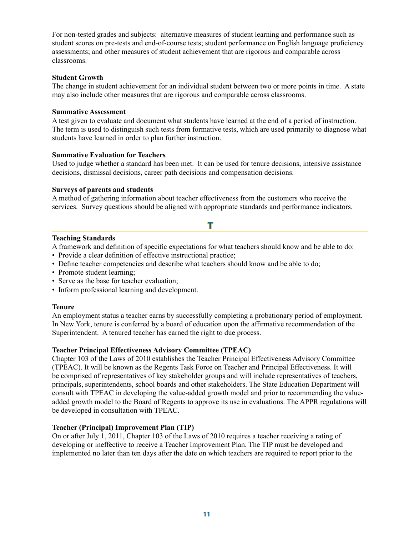For non-tested grades and subjects: alternative measures of student learning and performance such as student scores on pre-tests and end-of-course tests; student performance on English language proficiency assessments; and other measures of student achievement that are rigorous and comparable across classrooms.

#### **Student Growth**

The change in student achievement for an individual student between two or more points in time. A state may also include other measures that are rigorous and comparable across classrooms.

#### **Summative Assessment**

A test given to evaluate and document what students have learned at the end of a period of instruction. The term is used to distinguish such tests from formative tests, which are used primarily to diagnose what students have learned in order to plan further instruction.

#### **Summative Evaluation for Teachers**

Used to judge whether a standard has been met. It can be used for tenure decisions, intensive assistance decisions, dismissal decisions, career path decisions and compensation decisions.

#### **Surveys of parents and students**

A method of gathering information about teacher effectiveness from the customers who receive the services. Survey questions should be aligned with appropriate standards and performance indicators.

#### **Teaching Standards**

A framework and definition of specific expectations for what teachers should know and be able to do:

**T**

- Provide a clear definition of effective instructional practice;
- Define teacher competencies and describe what teachers should know and be able to do;
- Promote student learning;
- Serve as the base for teacher evaluation;
- Inform professional learning and development.

#### **Tenure**

An employment status a teacher earns by successfully completing a probationary period of employment. In New York, tenure is conferred by a board of education upon the affirmative recommendation of the Superintendent. A tenured teacher has earned the right to due process.

#### **Teacher Principal Effectiveness Advisory Committee (TPEAC)**

Chapter 103 of the Laws of 2010 establishes the Teacher Principal Effectiveness Advisory Committee (TPEAC). It will be known as the Regents Task Force on Teacher and Principal Effectiveness. It will be comprised of representatives of key stakeholder groups and will include representatives of teachers, principals, superintendents, school boards and other stakeholders. The State Education Department will consult with TPEAC in developing the value-added growth model and prior to recommending the valueadded growth model to the Board of Regents to approve its use in evaluations. The APPR regulations will be developed in consultation with TPEAC.

#### **Teacher (Principal) Improvement Plan (TIP)**

On or after July 1, 2011, Chapter 103 of the Laws of 2010 requires a teacher receiving a rating of developing or ineffective to receive a Teacher Improvement Plan. The TIP must be developed and implemented no later than ten days after the date on which teachers are required to report prior to the